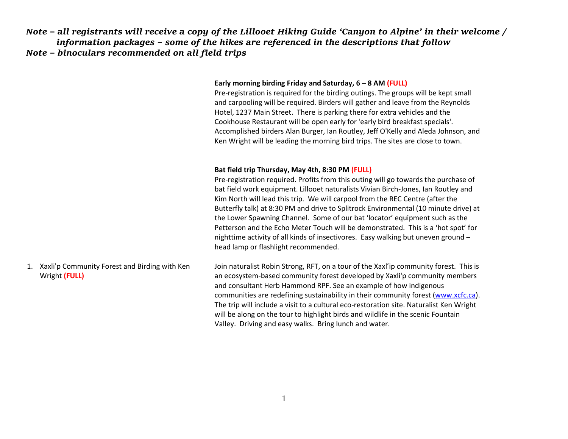*Note – all registrants will receive a copy of the Lillooet Hiking Guide 'Canyon to Alpine' in their welcome / information packages – some of the hikes are referenced in the descriptions that follow Note – binoculars recommended on all field trips*

## **Early morning birding Friday and Saturday, 6 – 8 AM (FULL)**

Pre-registration is required for the birding outings. The groups will be kept small and carpooling will be required. Birders will gather and leave from the Reynolds Hotel, 1237 Main Street. There is parking there for extra vehicles and the Cookhouse Restaurant will be open early for 'early bird breakfast specials'. Accomplished birders Alan Burger, Ian Routley, Jeff O'Kelly and Aleda Johnson, and Ken Wright will be leading the morning bird trips. The sites are close to town.

## **Bat field trip Thursday, May 4th, 8:30 PM (FULL)**

Pre-registration required. Profits from this outing will go towards the purchase of bat field work equipment. Lillooet naturalists Vivian Birch-Jones, Ian Routley and Kim North will lead this trip. We will carpool from the REC Centre (after the Butterfly talk) at 8:30 PM and drive to Splitrock Environmental (10 minute drive) at the Lower Spawning Channel. Some of our bat 'locator' equipment such as the Petterson and the Echo Meter Touch will be demonstrated. This is a 'hot spot' for nighttime activity of all kinds of insectivores. Easy walking but uneven ground – head lamp or flashlight recommended.

1. Xaxli'p Community Forest and Birding with Ken Wright **(FULL)** Join naturalist Robin Strong, RFT, on a tour of the Xaxl'ip community forest. This is an ecosystem-based community forest developed by Xaxli'p community members and consultant Herb Hammond RPF. See an example of how indigenous communities are redefining sustainability in their community forest [\(www.xcfc.ca\)](http://www.xcfc.ca/). The trip will include a visit to a cultural eco-restoration site. Naturalist Ken Wright will be along on the tour to highlight birds and wildlife in the scenic Fountain Valley. Driving and easy walks. Bring lunch and water.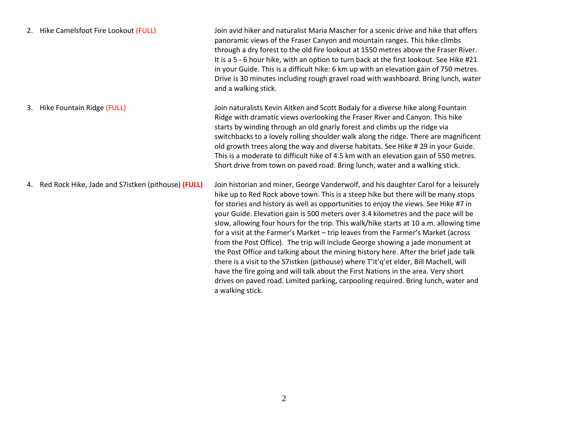|    | 2. Hike Camelsfoot Fire Lookout (FULL)                | Join avid hiker and naturalist Maria Mascher for a scenic drive and hike that offers<br>panoramic views of the Fraser Canyon and mountain ranges. This hike climbs<br>through a dry forest to the old fire lookout at 1550 metres above the Fraser River.<br>It is a 5 - 6 hour hike, with an option to turn back at the first lookout. See Hike #21<br>in your Guide. This is a difficult hike: 6 km up with an elevation gain of 750 metres.<br>Drive is 30 minutes including rough gravel road with washboard. Bring lunch, water<br>and a walking stick.                                                                                                                                                                                                                                                                                                                                                                                                                                          |
|----|-------------------------------------------------------|-------------------------------------------------------------------------------------------------------------------------------------------------------------------------------------------------------------------------------------------------------------------------------------------------------------------------------------------------------------------------------------------------------------------------------------------------------------------------------------------------------------------------------------------------------------------------------------------------------------------------------------------------------------------------------------------------------------------------------------------------------------------------------------------------------------------------------------------------------------------------------------------------------------------------------------------------------------------------------------------------------|
| 3. | Hike Fountain Ridge (FULL)                            | Join naturalists Kevin Aitken and Scott Bodaly for a diverse hike along Fountain<br>Ridge with dramatic views overlooking the Fraser River and Canyon. This hike<br>starts by winding through an old gnarly forest and climbs up the ridge via<br>switchbacks to a lovely rolling shoulder walk along the ridge. There are magnificent<br>old growth trees along the way and diverse habitats. See Hike # 29 in your Guide.<br>This is a moderate to difficult hike of 4.5 km with an elevation gain of 550 metres.<br>Short drive from town on paved road. Bring lunch, water and a walking stick.                                                                                                                                                                                                                                                                                                                                                                                                   |
|    | 4. Red Rock Hike, Jade and S7istken (pithouse) (FULL) | Join historian and miner, George Vanderwolf, and his daughter Carol for a leisurely<br>hike up to Red Rock above town. This is a steep hike but there will be many stops<br>for stories and history as well as opportunities to enjoy the views. See Hike #7 in<br>your Guide. Elevation gain is 500 meters over 3.4 kilometres and the pace will be<br>slow, allowing four hours for the trip. This walk/hike starts at 10 a.m. allowing time<br>for a visit at the Farmer's Market - trip leaves from the Farmer's Market (across<br>from the Post Office). The trip will include George showing a jade monument at<br>the Post Office and talking about the mining history here. After the brief jade talk<br>there is a visit to the S7istken (pithouse) where T'it'q'et elder, Bill Machell, will<br>have the fire going and will talk about the First Nations in the area. Very short<br>drives on paved road. Limited parking, carpooling required. Bring lunch, water and<br>a walking stick. |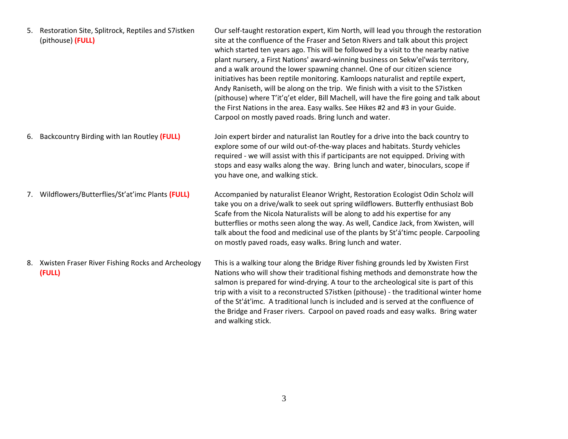|    | 5. Restoration Site, Splitrock, Reptiles and S7istken<br>(pithouse) (FULL) | Our self-taught restoration expert, Kim North, will lead you through the restoration<br>site at the confluence of the Fraser and Seton Rivers and talk about this project<br>which started ten years ago. This will be followed by a visit to the nearby native<br>plant nursery, a First Nations' award-winning business on Sekw'el'was territory,<br>and a walk around the lower spawning channel. One of our citizen science<br>initiatives has been reptile monitoring. Kamloops naturalist and reptile expert,<br>Andy Raniseth, will be along on the trip. We finish with a visit to the S7istken<br>(pithouse) where T'it'q'et elder, Bill Machell, will have the fire going and talk about<br>the First Nations in the area. Easy walks. See Hikes #2 and #3 in your Guide.<br>Carpool on mostly paved roads. Bring lunch and water. |
|----|----------------------------------------------------------------------------|----------------------------------------------------------------------------------------------------------------------------------------------------------------------------------------------------------------------------------------------------------------------------------------------------------------------------------------------------------------------------------------------------------------------------------------------------------------------------------------------------------------------------------------------------------------------------------------------------------------------------------------------------------------------------------------------------------------------------------------------------------------------------------------------------------------------------------------------|
| 6. | Backcountry Birding with Ian Routley (FULL)                                | Join expert birder and naturalist Ian Routley for a drive into the back country to<br>explore some of our wild out-of-the-way places and habitats. Sturdy vehicles<br>required - we will assist with this if participants are not equipped. Driving with<br>stops and easy walks along the way. Bring lunch and water, binoculars, scope if<br>you have one, and walking stick.                                                                                                                                                                                                                                                                                                                                                                                                                                                              |
| 7. | Wildflowers/Butterflies/St'at'imc Plants (FULL)                            | Accompanied by naturalist Eleanor Wright, Restoration Ecologist Odin Scholz will<br>take you on a drive/walk to seek out spring wildflowers. Butterfly enthusiast Bob<br>Scafe from the Nicola Naturalists will be along to add his expertise for any<br>butterflies or moths seen along the way. As well, Candice Jack, from Xwisten, will<br>talk about the food and medicinal use of the plants by St'a'timc people. Carpooling<br>on mostly paved roads, easy walks. Bring lunch and water.                                                                                                                                                                                                                                                                                                                                              |
|    | 8. Xwisten Fraser River Fishing Rocks and Archeology<br>(FULL)             | This is a walking tour along the Bridge River fishing grounds led by Xwisten First<br>Nations who will show their traditional fishing methods and demonstrate how the<br>salmon is prepared for wind-drying. A tour to the archeological site is part of this<br>trip with a visit to a reconstructed S7istken (pithouse) - the traditional winter home<br>of the St'at'imc. A traditional lunch is included and is served at the confluence of<br>the Bridge and Fraser rivers. Carpool on paved roads and easy walks. Bring water<br>and walking stick.                                                                                                                                                                                                                                                                                    |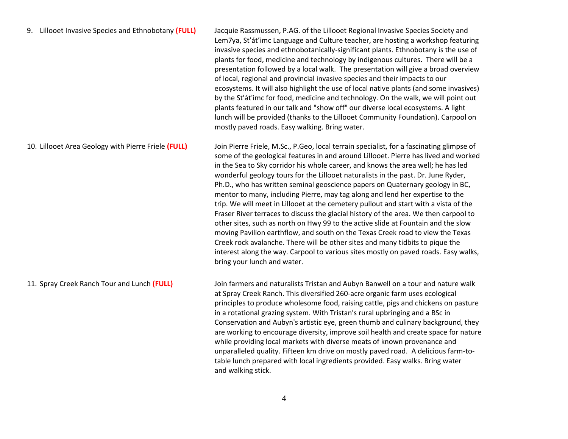## 9. Lillooet Invasive Species and Ethnobotany **(FULL)** Jacquie Rassmussen, P.AG. of the Lillooet Regional Invasive Species Society and Lem7ya, St'át'imc Language and Culture teacher, are hosting a workshop featuring invasive species and ethnobotanically-significant plants. Ethnobotany is the use of plants for food, medicine and technology by indigenous cultures. There will be a presentation followed by a local walk. The presentation will give a broad overview of local, regional and provincial invasive species and their impacts to our ecosystems. It will also highlight the use of local native plants (and some invasives) by the St'át'imc for food, medicine and technology. On the walk, we will point out plants featured in our talk and "show off" our diverse local ecosystems. A light lunch will be provided (thanks to the Lillooet Community Foundation). Carpool on mostly paved roads. Easy walking. Bring water. 10. Lillooet Area Geology with Pierre Friele **(FULL)** Join Pierre Friele, M.Sc., P.Geo, local terrain specialist, for a fascinating glimpse of some of the geological features in and around Lillooet. Pierre has lived and worked in the Sea to Sky corridor his whole career, and knows the area well; he has led wonderful geology tours for the Lillooet naturalists in the past. Dr. June Ryder, Ph.D., who has written seminal geoscience papers on Quaternary geology in BC, mentor to many, including Pierre, may tag along and lend her expertise to the trip. We will meet in Lillooet at the cemetery pullout and start with a vista of the

interest along the way. Carpool to various sites mostly on paved roads. Easy walks, bring your lunch and water. 11. Spray Creek Ranch Tour and Lunch **(FULL)** Join farmers and naturalists Tristan and Aubyn Banwell on a tour and nature walk at Spray Creek Ranch. This diversified 260-acre organic farm uses ecological principles to produce wholesome food, raising cattle, pigs and chickens on pasture in a rotational grazing system. With Tristan's rural upbringing and a BSc in Conservation and Aubyn's artistic eye, green thumb and culinary background, they are working to encourage diversity, improve soil health and create space for nature while providing local markets with diverse meats of known provenance and unparalleled quality. Fifteen km drive on mostly paved road. A delicious farm-totable lunch prepared with local ingredients provided. Easy walks. Bring water and walking stick.

Fraser River terraces to discuss the glacial history of the area. We then carpool to other sites, such as north on Hwy 99 to the active slide at Fountain and the slow moving Pavilion earthflow, and south on the Texas Creek road to view the Texas Creek rock avalanche. There will be other sites and many tidbits to pique the